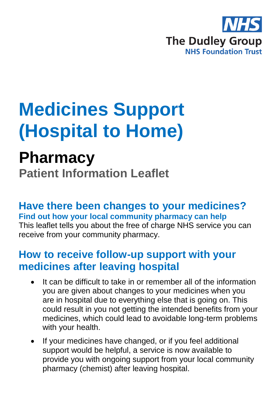

# **Medicines Support (Hospital to Home)**

# **Pharmacy**

**Patient Information Leaflet**

**Have there been changes to your medicines? Find out how your local community pharmacy can help**

This leaflet tells you about the free of charge NHS service you can receive from your community pharmacy.

#### **How to receive follow-up support with your medicines after leaving hospital**

- It can be difficult to take in or remember all of the information you are given about changes to your medicines when you are in hospital due to everything else that is going on. This could result in you not getting the intended benefits from your medicines, which could lead to avoidable long-term problems with your health.
- If your medicines have changed, or if you feel additional support would be helpful, a service is now available to provide you with ongoing support from your local community pharmacy (chemist) after leaving hospital.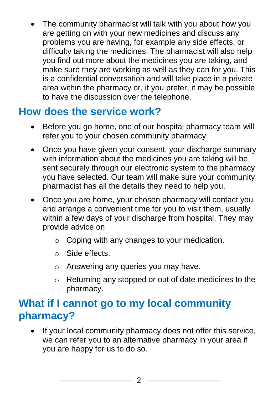The community pharmacist will talk with you about how you are getting on with your new medicines and discuss any problems you are having, for example any side effects, or difficulty taking the medicines. The pharmacist will also help you find out more about the medicines you are taking, and make sure they are working as well as they can for you. This is a confidential conversation and will take place in a private area within the pharmacy or, if you prefer, it may be possible to have the discussion over the telephone.

## **How does the service work?**

- Before you go home, one of our hospital pharmacy team will refer you to your chosen community pharmacy.
- Once you have given your consent, your discharge summary with information about the medicines you are taking will be sent securely through our electronic system to the pharmacy you have selected. Our team will make sure your community pharmacist has all the details they need to help you.
- Once you are home, your chosen pharmacy will contact you and arrange a convenient time for you to visit them, usually within a few days of your discharge from hospital. They may provide advice on
	- o Coping with any changes to your medication.
	- o Side effects.
	- o Answering any queries you may have.
	- o Returning any stopped or out of date medicines to the pharmacy.

#### **What if I cannot go to my local community pharmacy?**

• If your local community pharmacy does not offer this service, we can refer you to an alternative pharmacy in your area if you are happy for us to do so.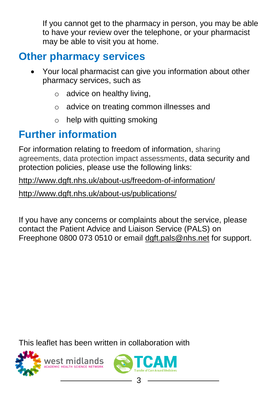If you cannot get to the pharmacy in person, you may be able to have your review over the telephone, or your pharmacist may be able to visit you at home.

## **Other pharmacy services**

- Your local pharmacist can give you information about other pharmacy services, such as
	- $\circ$  advice on healthy living,
	- o advice on treating common illnesses and
	- $\circ$  help with quitting smoking

#### **Further information**

For information relating to freedom of information, sharing agreements, data protection impact assessments, data security and protection policies, please use the following links:

<http://www.dgft.nhs.uk/about-us/freedom-of-information/>

<http://www.dgft.nhs.uk/about-us/publications/>

If you have any concerns or complaints about the service, please contact the Patient Advice and Liaison Service (PALS) on Freephone 0800 073 0510 or email [dgft.pals@nhs.net](mailto:dgft.pals@nhs.net) for support.

This leaflet has been written in collaboration with